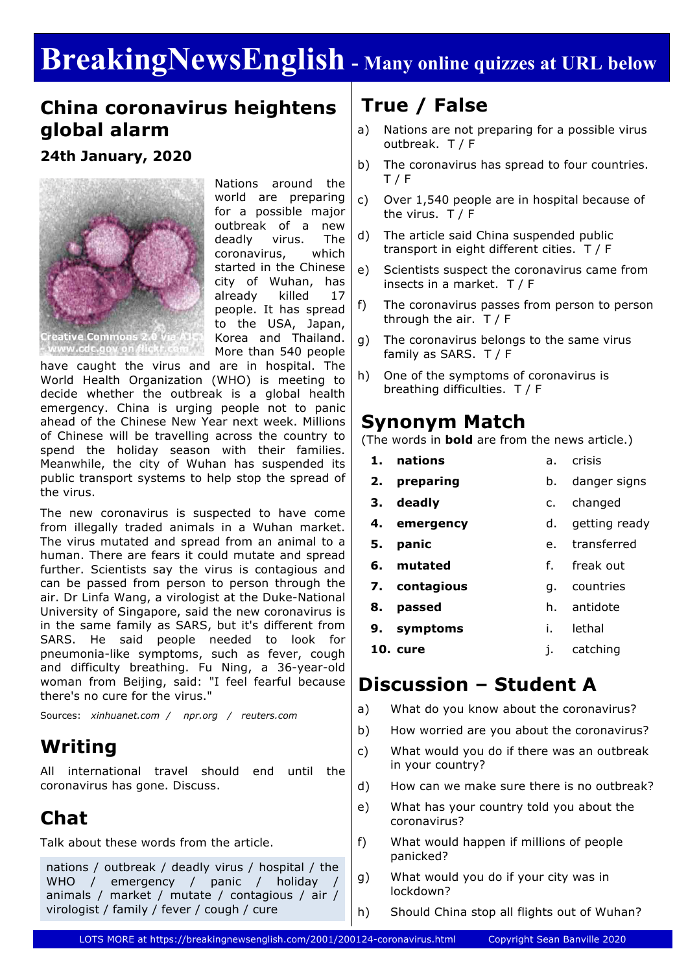# **BreakingNewsEnglish - Many online quizzes at URL below**

## **China coronavirus heightens global alarm**

**24th January, 2020**



Nations around the world are preparing for a possible major outbreak of a new deadly virus. The coronavirus, which started in the Chinese city of Wuhan, has already killed 17 people. It has spread to the USA, Japan, Korea and Thailand. More than 540 people

have caught the virus and are in hospital. The World Health Organization (WHO) is meeting to decide whether the outbreak is a global health emergency. China is urging people not to panic ahead of the Chinese New Year next week. Millions of Chinese will be travelling across the country to spend the holiday season with their families. Meanwhile, the city of Wuhan has suspended its public transport systems to help stop the spread of the virus.

The new coronavirus is suspected to have come from illegally traded animals in a Wuhan market. The virus mutated and spread from an animal to a human. There are fears it could mutate and spread further. Scientists say the virus is contagious and can be passed from person to person through the air. Dr Linfa Wang, a virologist at the Duke-National University of Singapore, said the new coronavirus is in the same family as SARS, but it's different from SARS. He said people needed to look for pneumonia-like symptoms, such as fever, cough and difficulty breathing. Fu Ning, a 36-year-old woman from Beijing, said: "I feel fearful because there's no cure for the virus."

Sources: *xinhuanet.com / npr.org / reuters.com*

# **Writing**

All international travel should end until the coronavirus has gone. Discuss.

# **Chat**

Talk about these words from the article.

nations / outbreak / deadly virus / hospital / the WHO / emergency / panic / holiday / animals / market / mutate / contagious / air / virologist / family / fever / cough / cure

# **True / False**

- a) Nations are not preparing for a possible virus outbreak. T / F
- b) The coronavirus has spread to four countries. T / F
- c) Over 1,540 people are in hospital because of the virus. T / F
- d) The article said China suspended public transport in eight different cities. T / F
- e) Scientists suspect the coronavirus came from insects in a market. T / F
- f) The coronavirus passes from person to person through the air. T / F
- g) The coronavirus belongs to the same virus family as SARS. T / F
- h) One of the symptoms of coronavirus is breathing difficulties. T / F

### **Synonym Match**

(The words in **bold** are from the news article.)

**1. nations 2. preparing 3. deadly 4. emergency 5. panic 6. mutated 7. contagious 8. passed 9. symptoms 10. cure** a. crisis b. danger signs c. changed d. getting ready e. transferred f. freak out g. countries h. antidote i. lethal j. catching

### **Discussion – Student A**

- a) What do you know about the coronavirus?
- b) How worried are you about the coronavirus?
- c) What would you do if there was an outbreak in your country?
- d) How can we make sure there is no outbreak?
- e) What has your country told you about the coronavirus?
- f) What would happen if millions of people panicked?
- g) What would you do if your city was in lockdown?
- h) Should China stop all flights out of Wuhan?